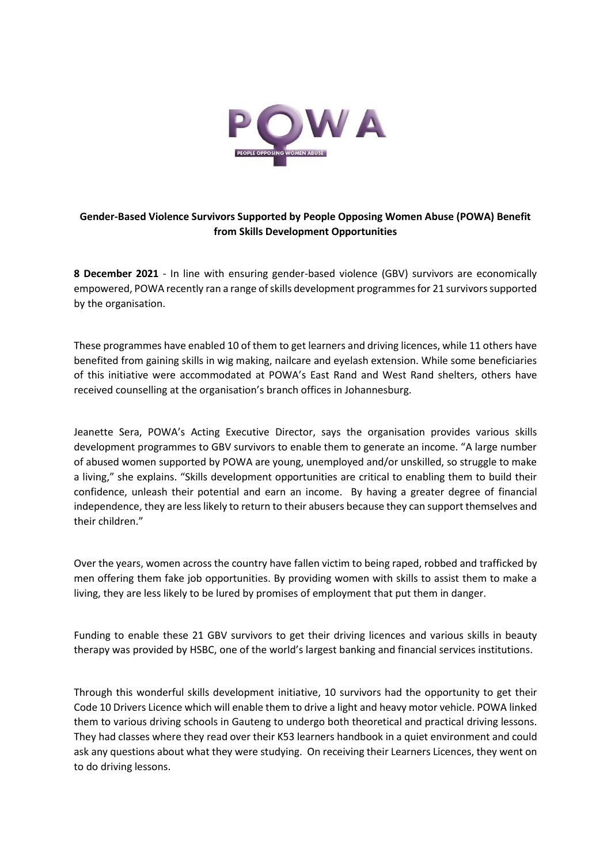

## **Gender-Based Violence Survivors Supported by People Opposing Women Abuse (POWA) Benefit from Skills Development Opportunities**

**8 December 2021** - In line with ensuring gender-based violence (GBV) survivors are economically empowered, POWA recently ran a range of skills development programmes for 21 survivors supported by the organisation.

These programmes have enabled 10 of them to get learners and driving licences, while 11 others have benefited from gaining skills in wig making, nailcare and eyelash extension. While some beneficiaries of this initiative were accommodated at POWA's East Rand and West Rand shelters, others have received counselling at the organisation's branch offices in Johannesburg.

Jeanette Sera, POWA's Acting Executive Director, says the organisation provides various skills development programmes to GBV survivors to enable them to generate an income. "A large number of abused women supported by POWA are young, unemployed and/or unskilled, so struggle to make a living," she explains. "Skills development opportunities are critical to enabling them to build their confidence, unleash their potential and earn an income. By having a greater degree of financial independence, they are less likely to return to their abusers because they can support themselves and their children."

Over the years, women across the country have fallen victim to being raped, robbed and trafficked by men offering them fake job opportunities. By providing women with skills to assist them to make a living, they are less likely to be lured by promises of employment that put them in danger.

Funding to enable these 21 GBV survivors to get their driving licences and various skills in beauty therapy was provided by HSBC, one of the world's largest banking and financial services institutions.

Through this wonderful skills development initiative, 10 survivors had the opportunity to get their Code 10 Drivers Licence which will enable them to drive a light and heavy motor vehicle. POWA linked them to various driving schools in Gauteng to undergo both theoretical and practical driving lessons. They had classes where they read over their K53 learners handbook in a quiet environment and could ask any questions about what they were studying. On receiving their Learners Licences, they went on to do driving lessons.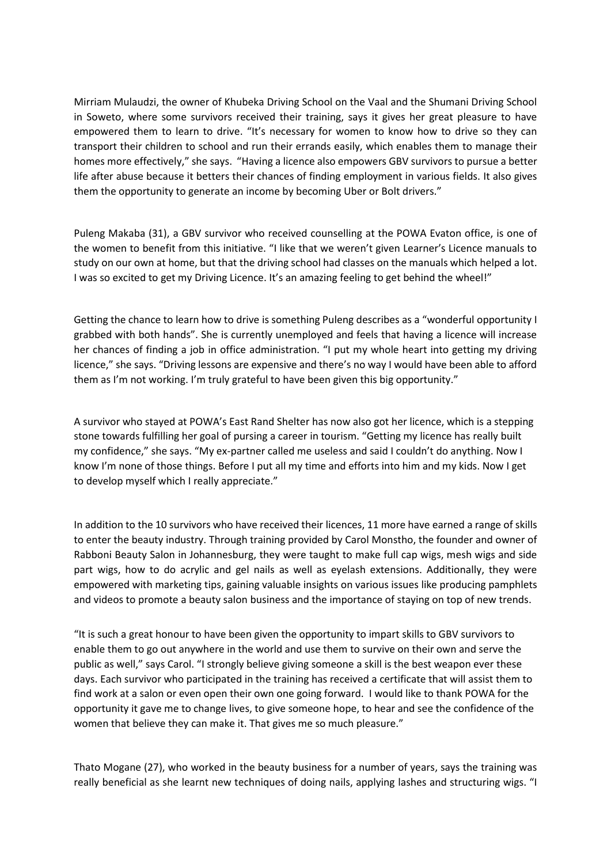Mirriam Mulaudzi, the owner of Khubeka Driving School on the Vaal and the Shumani Driving School in Soweto, where some survivors received their training, says it gives her great pleasure to have empowered them to learn to drive. "It's necessary for women to know how to drive so they can transport their children to school and run their errands easily, which enables them to manage their homes more effectively," she says. "Having a licence also empowers GBV survivors to pursue a better life after abuse because it betters their chances of finding employment in various fields. It also gives them the opportunity to generate an income by becoming Uber or Bolt drivers."

Puleng Makaba (31), a GBV survivor who received counselling at the POWA Evaton office, is one of the women to benefit from this initiative. "I like that we weren't given Learner's Licence manuals to study on our own at home, but that the driving school had classes on the manuals which helped a lot. I was so excited to get my Driving Licence. It's an amazing feeling to get behind the wheel!"

Getting the chance to learn how to drive is something Puleng describes as a "wonderful opportunity I grabbed with both hands". She is currently unemployed and feels that having a licence will increase her chances of finding a job in office administration. "I put my whole heart into getting my driving licence," she says. "Driving lessons are expensive and there's no way I would have been able to afford them as I'm not working. I'm truly grateful to have been given this big opportunity."

A survivor who stayed at POWA's East Rand Shelter has now also got her licence, which is a stepping stone towards fulfilling her goal of pursing a career in tourism. "Getting my licence has really built my confidence," she says. "My ex-partner called me useless and said I couldn't do anything. Now I know I'm none of those things. Before I put all my time and efforts into him and my kids. Now I get to develop myself which I really appreciate."

In addition to the 10 survivors who have received their licences, 11 more have earned a range of skills to enter the beauty industry. Through training provided by Carol Monstho, the founder and owner of Rabboni Beauty Salon in Johannesburg, they were taught to make full cap wigs, mesh wigs and side part wigs, how to do acrylic and gel nails as well as eyelash extensions. Additionally, they were empowered with marketing tips, gaining valuable insights on various issues like producing pamphlets and videos to promote a beauty salon business and the importance of staying on top of new trends.

"It is such a great honour to have been given the opportunity to impart skills to GBV survivors to enable them to go out anywhere in the world and use them to survive on their own and serve the public as well," says Carol. "I strongly believe giving someone a skill is the best weapon ever these days. Each survivor who participated in the training has received a certificate that will assist them to find work at a salon or even open their own one going forward. I would like to thank POWA for the opportunity it gave me to change lives, to give someone hope, to hear and see the confidence of the women that believe they can make it. That gives me so much pleasure."

Thato Mogane (27), who worked in the beauty business for a number of years, says the training was really beneficial as she learnt new techniques of doing nails, applying lashes and structuring wigs. "I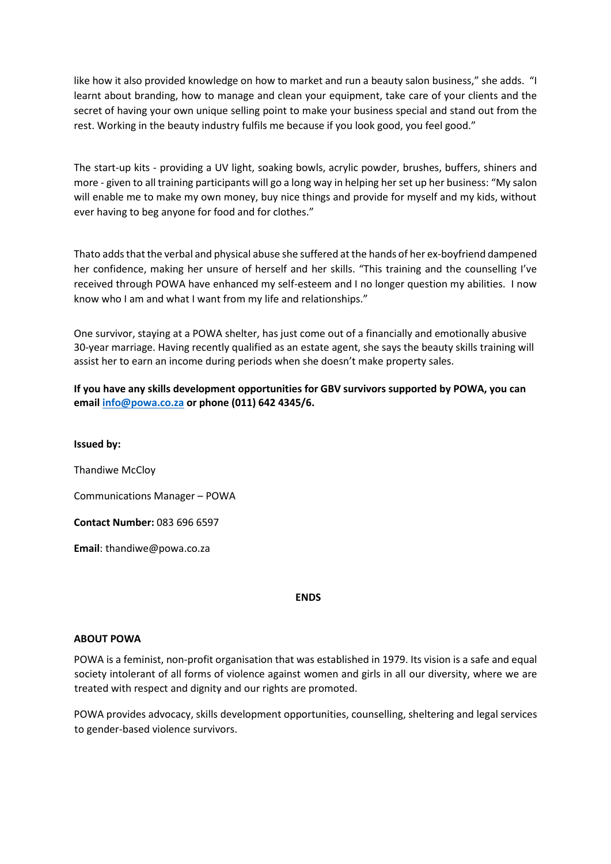like how it also provided knowledge on how to market and run a beauty salon business," she adds. "I learnt about branding, how to manage and clean your equipment, take care of your clients and the secret of having your own unique selling point to make your business special and stand out from the rest. Working in the beauty industry fulfils me because if you look good, you feel good."

The start-up kits - providing a UV light, soaking bowls, acrylic powder, brushes, buffers, shiners and more - given to all training participants will go a long way in helping her set up her business: "My salon will enable me to make my own money, buy nice things and provide for myself and my kids, without ever having to beg anyone for food and for clothes."

Thato adds that the verbal and physical abuse she suffered at the hands of her ex-boyfriend dampened her confidence, making her unsure of herself and her skills. "This training and the counselling I've received through POWA have enhanced my self-esteem and I no longer question my abilities. I now know who I am and what I want from my life and relationships."

One survivor, staying at a POWA shelter, has just come out of a financially and emotionally abusive 30-year marriage. Having recently qualified as an estate agent, she says the beauty skills training will assist her to earn an income during periods when she doesn't make property sales.

**If you have any skills development opportunities for GBV survivors supported by POWA, you can email [info@powa.co.za](mailto:info@powa.co.za) or phone (011) 642 4345/6.**

**Issued by:**  Thandiwe McCloy Communications Manager – POWA **Contact Number:** 083 696 6597 **Email**[: thandiwe@powa.co.za](mailto:thandiwe@powa.co.za)

## **ENDS**

## **ABOUT POWA**

POWA is a feminist, non-profit organisation that was established in 1979. Its vision is a safe and equal society intolerant of all forms of violence against women and girls in all our diversity, where we are treated with respect and dignity and our rights are promoted.

POWA provides advocacy, skills development opportunities, counselling, sheltering and legal services to gender-based violence survivors.